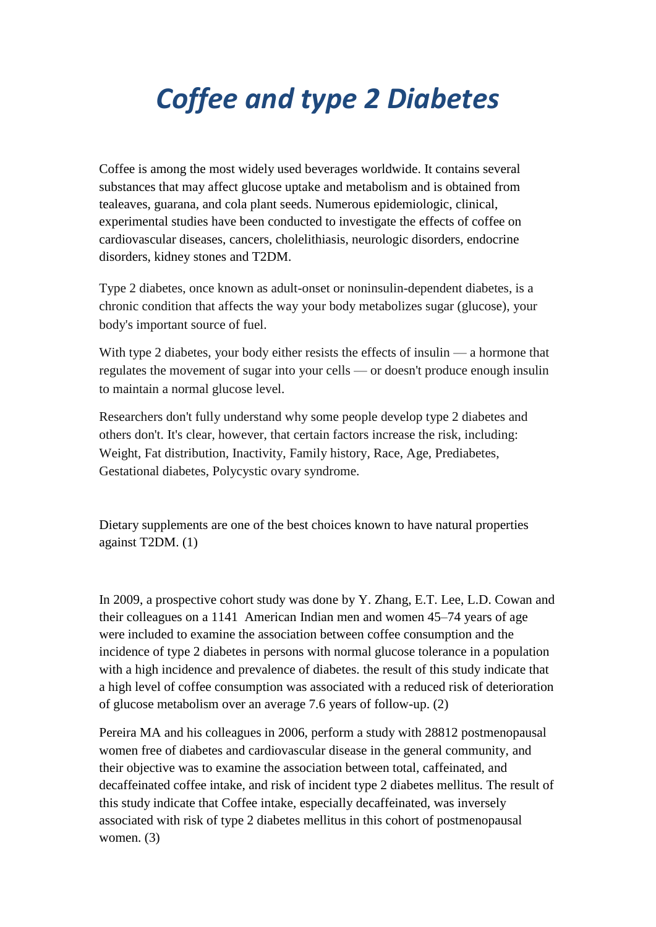## *Coffee and type 2 Diabetes*

Coffee is among the most widely used beverages worldwide. It contains several substances that may affect glucose uptake and metabolism and is obtained from tealeaves, guarana, and cola plant seeds. Numerous epidemiologic, clinical, experimental studies have been conducted to investigate the effects of coffee on cardiovascular diseases, cancers, cholelithiasis, neurologic disorders, endocrine disorders, kidney stones and T2DM.

Type 2 diabetes, once known as adult-onset or noninsulin-dependent diabetes, is a chronic condition that affects the way your body metabolizes sugar (glucose), your body's important source of fuel.

With type 2 diabetes, your body either resists the effects of insulin — a hormone that regulates the movement of sugar into your cells — or doesn't produce enough insulin to maintain a normal glucose level.

Researchers don't fully understand why some people develop type 2 diabetes and others don't. It's clear, however, that certain factors increase the risk, including: Weight, Fat distribution, Inactivity, Family history, Race, Age, Prediabetes, Gestational diabetes, Polycystic ovary syndrome.

Dietary supplements are one of the best choices known to have natural properties against T2DM. (1)

In 2009, a prospective cohort study was done by Y. Zhang, E.T. Lee, L.D. Cowan and their colleagues on a 1141 American Indian men and women 45–74 years of age were included to examine the association between coffee consumption and the incidence of type 2 diabetes in persons with normal glucose tolerance in a population with a high incidence and prevalence of diabetes, the result of this study indicate that a high level of coffee consumption was associated with a reduced risk of deterioration of glucose metabolism over an average 7.6 years of follow-up. (2)

Pereira MA and his colleagues in 2006, perform a study with 28812 postmenopausal women free of diabetes and cardiovascular disease in the general community, and their objective was to examine the association between total, caffeinated, and decaffeinated coffee intake, and risk of incident type 2 diabetes mellitus. The result of this study indicate that Coffee intake, especially decaffeinated, was inversely associated with risk of type 2 diabetes mellitus in this cohort of postmenopausal women. (3)